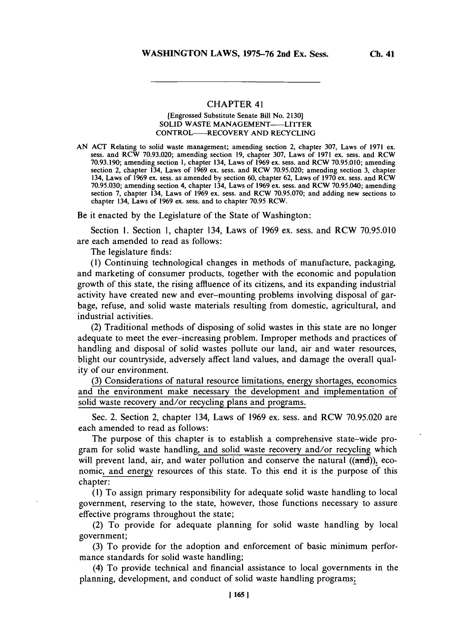## **CHAPTER 41**

## [Engrossed Substitute Senate Bill No. **2130] SOLID WASTE MANAGEMENT--LITTER** CONTROL-RECOVERY **AND** RECYCLING

**AN ACT** Relating to solid waste management; amending section 2, chapter **307,** Laws of **1971** ex. sess. and RCW **70.93.020;** amending section **19,** chapter **307,** Laws of **1971** ex. sess. and RCW **70.93.190;** amending section **1,** chapter 134, Laws of **1969** ex. sess. and RCW **70.95.010;** amending section 2, chapter 134, Laws of **1969** ex. sess. and RCW **70.95.020;** amending section **3,** chapter 134, Laws of **1969** ex. sess. as amended **by** section **60,** chapter **62,** Laws of **1970** ex. sess. and RCW *70.95.030;* amending section 4, chapter 134, Laws of **1969** ex. sess. and RCW *70.95.040;* amending section **7,** chapter 134, Laws of **1969** ex. sess. and RCW **70.95.070;** and adding new sections to chapter 134, Laws of **1969** ex. sess. and to chapter **70.95** RCW.

Be it enacted **by** the Legislature of the State of Washington:

Section **1.** Section **1,** chapter 134, Laws of **1969** ex. sess. and RCW **70.95.010** are each amended to read as follows:

The legislature finds:

**(1)** Continuing technological changes in methods of manufacture, packaging, and marketing **of** consumer products, together with the economic and population growth of this state, the rising affluence of its citizens, and its expanding industrial activity have created new and ever-mounting problems involving disposal of garbage, refuse, and solid waste materials resulting from domestic, agricultural, and industrial activities.

(2) Traditional methods of disposing of solid wastes in this state are no longer adequate to meet the ever-increasing problem. Improper methods and practices of handling and disposal of solid wastes pollute our land, air and water resources, blight our countryside, adversely affect land values, and damage the overall quality of our environment.

**(3)** Considerations of natural resource limitations, energy shortages, economics and the environment make necessary the development and implementation of solid waste recovery and/or recycling plans and programs.

Sec. 2. Section 2, chapter 134, Laws of **1969** ex. sess. and RCW **70.95.020** are each amended to read as follows:

The purpose of this chapter is to establish a comprehensive state-wide program for solid waste handling, and solid waste recovery and/or recycling which will prevent land, air, and water pollution and conserve the natural  $(( $\text{and})$ ), eco$ nomic, and energy resources of this state. To this end it is the purpose **of** this chapter:

**(1)** To assign primary responsibility for adequate solid waste handling to local government, reserving to the state, however, those functions necessary to assure effective programs throughout the state;

(2) To provide for adequate planning for solid waste handling **by** local government;

**(3)** To provide for the adoption and enforcement of basic minimum performance standards for solid waste handling;

(4) To provide technical and financial assistance to local governments in the planning, development, and conduct of solid waste handling programs;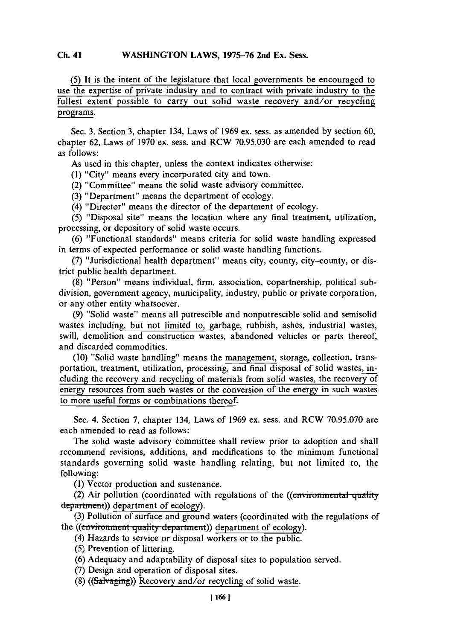## WASHINGTON LAWS, 1975-76 2nd Ex. Sess. **Ch.** 41

*(5)* **It** is **the** intent of the legislature that local governments be encouraged to use the expertise of private industry and to contract with private industry to the fullest extent possible to carry **out** solid waste recovery and/or recycling programs.

Sec. **3.** Section **3,** chapter 134, Laws of **1969** ex. sess. as amended **by** section **60,** chapter **62,** Laws of **1970** ex. sess. and RCW *70.95.030* are each amended to read as follows:

As used in this chapter, unless the context indicates otherwise:

**(1)** "City" means every incorporated city and town.

(2) "Committee" means the solid waste advisory committee.

**(3)** "Department" means the department of ecology.

(4) "Director" means the director of the department of ecology.

*(5)* "Disposal site" means the location where any final treatment, utilization, processing, or depository of solid waste occurs.

**(6)** "Functional standards" means criteria for solid waste handling expressed in terms of expected performance or solid waste handling functions.

**(7)** "Jurisdictional health department" means city, county, city-county, or district public health department.

**(8)** "Person" means individual, firm, association, copartnership, political subdivision, government agency, municipality, industry, public or private corporation, or any other entity whatsoever.

**(9)** "Solid waste" means all putrescible and nonputrescible solid and semisolid wastes including, but not limited to, garbage, rubbish, ashes, industrial wastes, swill, demolition and construction wastes, abandoned vehicles or parts thereof, and discarded commodities.

**(10)** "Solid waste handling" means the management, storage, collection, transportation, treatment, utilization, processing, and final disposal of solid wastes, including the recovery and recycling of materials from solid wastes, the recovery of energy resources from such wastes or the conversion of the energy in such wastes to more useful forms or combinations thereof.

Sec. 4. Section **7,** chapter 134, Laws of **1969** ex. sess. and RCW **70.95.070** are each amended to read as follows:

The solid waste advisory committee shall review prior to adoption and shall recommend revisions, additions, and modifications to the minimum functional standards governing solid waste handling relating, but not limited to, the following:

**(1)** Vector production and sustenance.

(2) Air pollution (coordinated with regulations of the ((environmental quality) department)) department of ecology).

**(3)** Pollution of surface and ground waters (coordinated with the regulations of the ((*environment quality department*)) department of ecology).

- (4) Hazards to service or disposal workers or to the public.
- *(5)* Prevention of littering.

**(6)** Adequacy and adaptability of disposal sites to population served.

**(7)** Design and operation of disposal sites.

(8) ((Salvaging)) Recovery and/or recycling of solid waste.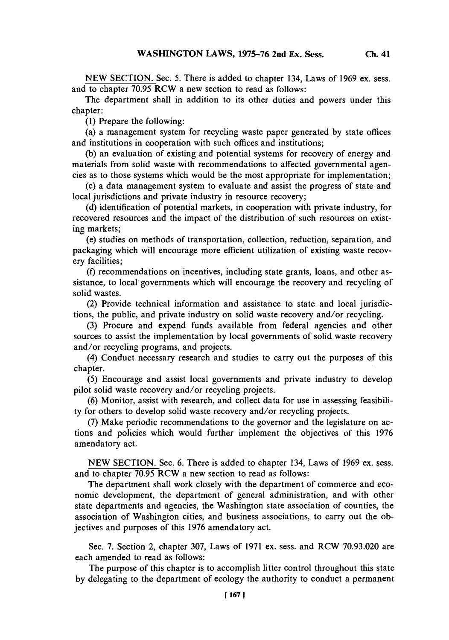**NEW SECTION.** Sec. **5.** There is added to chapter 134, Laws of **1969** ex. sess. and to chapter **70.95** RCW a new section to read as follows:

The department shall in addition to its other duties and powers under this chapter:

**(1)** Prepare the following:

(a) a management system for recycling waste paper generated **by** state offices and institutions in cooperation with such offices and institutions;

**(b)** an evaluation of existing and potential systems for recovery of energy and materials from solid waste with recommendations to affected governmental agencies as to those systems which would be the most appropriate for implementation;

(c) a data management system to evaluate and assist the progress of state and local jurisdictions and private industry in resource recovery;

**(d)** identification of potential markets, in cooperation with private industry, for recovered resources and the impact of the distribution of such resources on existing markets;

(e) studies on methods **of** transportation, collection, reduction, separation, and packaging which will encourage more efficient utilization of existing waste recovery facilities;

**(f)** recommendations on incentives, including state grants, loans, and other assistance, to local- governments which will encourage the recovery and recycling of solid wastes.

(2) Provide technical information and assistance to state and local jurisdictions, the public, and private industry on solid waste recovery and/or recycling.

**(3)** Procure and expend funds available from federal agencies and other sources to assist the implementation **by** local governments of solid waste recovery and/or recycling programs, and projects.

(4) Conduct necessary research and studies to carry out the purposes of this chapter.

**(5)** Encourage and assist local governments and private industry to develop pilot solid waste recovery and/or recycling projects.

**(6)** Monitor, assist with research, and collect data for use in assessing feasibility for others to develop solid waste recovery and/or recycling projects.

**(7)** Make periodic recommendations to the governor and the legislature on actions and policies which would further implement the objectives of this **1976** amendatory act.

**NEW SECTION.** Sec. **6.** There is added to chapter 134, Laws of **1969** ex. sess. and to chapter **70.95** RCW a new section to read as follows:

The department shall work closely with the department of commerce and economic development, the department of general administration, and with other state departments and agencies, the Washington state association of counties, the association of Washington cities, and business associations, to carry out the objectives and purposes of this **1976** amendatory act.

Sec. **7.** Section 2, chapter **307,** Laws of **1971** ex. sess. and RCW **70.93.020** are each amended to read as follows:

The purpose of this chapter is to accomplish litter control throughout this state **by** delegating to the department of ecology the authority to conduct a permanent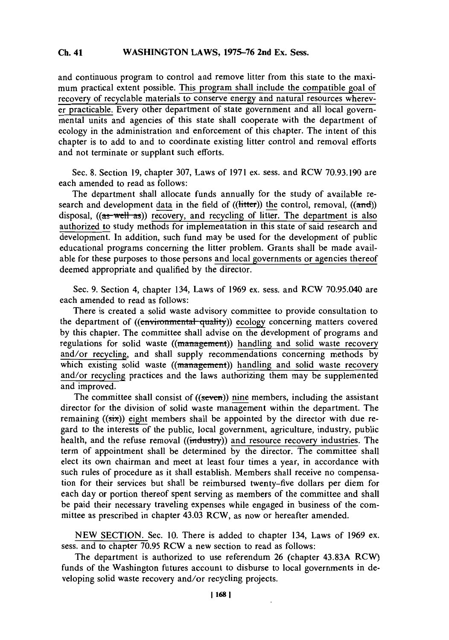and continuous program to control and remove litter from this state to the maximum practical extent possible. This program shall include the compatible goal of recovery of recyclable materials to conserve energy and natural resources wherever practicable. Every other department of state government and all local governmental units and agencies of this state shall cooperate with the department of ecology in the administration and enforcement of this chapter. The intent of this chapter is to add to and to coordinate existing litter control and removal efforts and not terminate or supplant such efforts.

Sec. **8.** Section **19,** chapter **307,** Laws of **1971** ex. sess. and RCW **70.93.190** are each amended to read as follows:

The department shall allocate funds annually for the study of available research and development data in the field of  $((\text{litter}))$  the control, removal,  $((\text{and}))$ disposal,  $((a\text{ s-well-as}))$  recovery, and recycling of litter. The department is also authorized to study methods for implementation in this state of said research and development. In addition, such fund may be used for the development of public educational programs concerning the litter problem. Grants shall be made available for these purposes to those persons and local governments or agencies thereof deemed appropriate and qualified **by** the director.

Sec. **9.** Section 4, chapter 134, Laws of **1969** ex. sess. and RCW **70.95.040** are each amended to read as follows:

There is created a solid waste advisory committee to provide consultation to the department of ((environmental quality)) ecology concerning matters covered **by** this chapter. The committee shall advise on the development of programs and regulations for solid waste ((management)) handling and solid waste recovery and/or recycling, and shall supply recommendations concerning methods **by** which existing solid waste  $((\text{management}))$  handling and solid waste recovery and/or recycling practices and the laws authorizing them may be supplemented and improved.

The committee shall consist of  $((\text{seven}))$  nine members, including the assistant director for the division of solid waste management within the department. The remaining ((six)) eight members shall be appointed **by** the director with due regard to the interests of the public, local government, agriculture, industry, public health, and the refuse removal ((industry)) and resource recovery industries. The term of appointment shall be determined **by** the director. The committee shall elect its own chairman and meet at least four times a year, in accordance with such rules of procedure as it shall establish. Members shall receive no compensation for their services but shall be reimbursed twenty-five dollars per diem for each day or portion thereof spent serving as members of the committee and shall be paid their necessary traveling expenses while engaged in business of the committee as prescribed in chapter 43.03 RCW, as now or hereafter amended.

**NEW SECTION.** Sec. **10.** There is added to chapter 134, Laws of **1969** ex. sess. and to chapter **70.95** RCW a new section to read as follows:

The department is authorized to use referendum **26** (chapter **43.83A** RCW) funds of the Washington futures account to disburse to local governments in developing solid waste recovery and/or recycling projects.